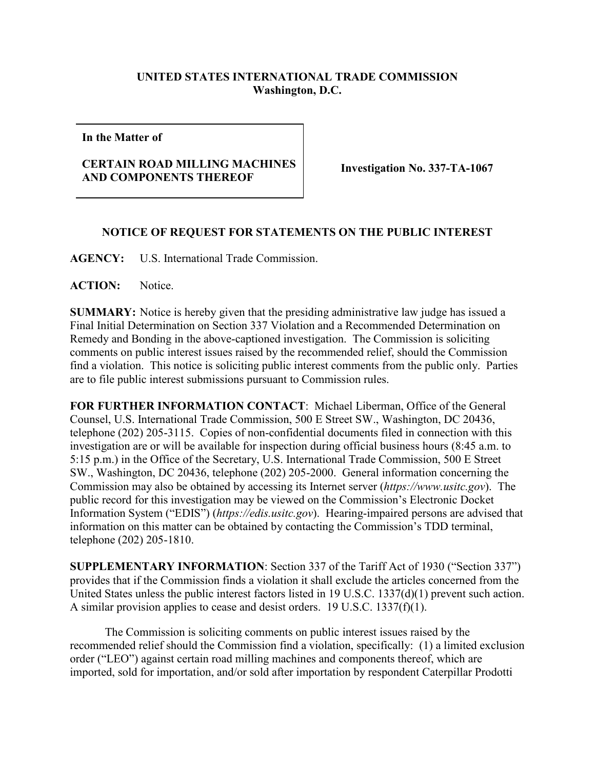## **UNITED STATES INTERNATIONAL TRADE COMMISSION Washington, D.C.**

**In the Matter of**

## **CERTAIN ROAD MILLING MACHINES AND COMPONENTS THEREOF Investigation No. 337-TA-1067**

## **NOTICE OF REQUEST FOR STATEMENTS ON THE PUBLIC INTEREST**

**AGENCY:** U.S. International Trade Commission.

**ACTION:** Notice.

**SUMMARY:** Notice is hereby given that the presiding administrative law judge has issued a Final Initial Determination on Section 337 Violation and a Recommended Determination on Remedy and Bonding in the above-captioned investigation. The Commission is soliciting comments on public interest issues raised by the recommended relief, should the Commission find a violation. This notice is soliciting public interest comments from the public only. Parties are to file public interest submissions pursuant to Commission rules.

**FOR FURTHER INFORMATION CONTACT**: Michael Liberman, Office of the General Counsel, U.S. International Trade Commission, 500 E Street SW., Washington, DC 20436, telephone (202) 205-3115. Copies of non-confidential documents filed in connection with this investigation are or will be available for inspection during official business hours (8:45 a.m. to 5:15 p.m.) in the Office of the Secretary, U.S. International Trade Commission, 500 E Street SW., Washington, DC 20436, telephone (202) 205-2000. General information concerning the Commission may also be obtained by accessing its Internet server (*https://www.usitc.gov*). The public record for this investigation may be viewed on the Commission's Electronic Docket Information System ("EDIS") (*https://edis.usitc.gov*). Hearing-impaired persons are advised that information on this matter can be obtained by contacting the Commission's TDD terminal, telephone (202) 205-1810.

**SUPPLEMENTARY INFORMATION**: Section 337 of the Tariff Act of 1930 ("Section 337") provides that if the Commission finds a violation it shall exclude the articles concerned from the United States unless the public interest factors listed in 19 U.S.C. 1337(d)(1) prevent such action. A similar provision applies to cease and desist orders. 19 U.S.C. 1337(f)(1).

The Commission is soliciting comments on public interest issues raised by the recommended relief should the Commission find a violation, specifically: (1) a limited exclusion order ("LEO") against certain road milling machines and components thereof, which are imported, sold for importation, and/or sold after importation by respondent Caterpillar Prodotti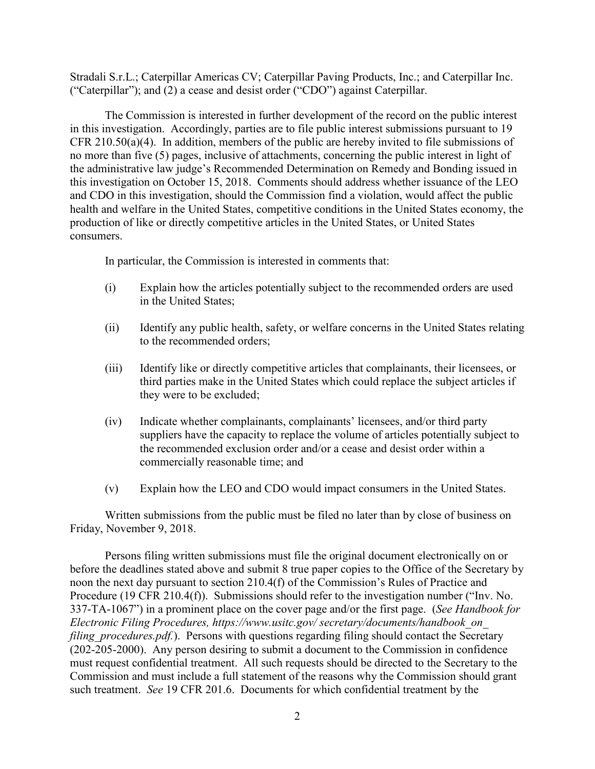Stradali S.r.L.; Caterpillar Americas CV; Caterpillar Paving Products, Inc.; and Caterpillar Inc. ("Caterpillar"); and (2) a cease and desist order ("CDO") against Caterpillar.

The Commission is interested in further development of the record on the public interest in this investigation. Accordingly, parties are to file public interest submissions pursuant to 19 CFR 210.50(a)(4). In addition, members of the public are hereby invited to file submissions of no more than five (5) pages, inclusive of attachments, concerning the public interest in light of the administrative law judge's Recommended Determination on Remedy and Bonding issued in this investigation on October 15, 2018. Comments should address whether issuance of the LEO and CDO in this investigation, should the Commission find a violation, would affect the public health and welfare in the United States, competitive conditions in the United States economy, the production of like or directly competitive articles in the United States, or United States consumers.

In particular, the Commission is interested in comments that:

- (i) Explain how the articles potentially subject to the recommended orders are used in the United States;
- (ii) Identify any public health, safety, or welfare concerns in the United States relating to the recommended orders;
- (iii) Identify like or directly competitive articles that complainants, their licensees, or third parties make in the United States which could replace the subject articles if they were to be excluded;
- (iv) Indicate whether complainants, complainants' licensees, and/or third party suppliers have the capacity to replace the volume of articles potentially subject to the recommended exclusion order and/or a cease and desist order within a commercially reasonable time; and
- (v) Explain how the LEO and CDO would impact consumers in the United States.

Written submissions from the public must be filed no later than by close of business on Friday, November 9, 2018.

Persons filing written submissions must file the original document electronically on or before the deadlines stated above and submit 8 true paper copies to the Office of the Secretary by noon the next day pursuant to section 210.4(f) of the Commission's Rules of Practice and Procedure (19 CFR 210.4(f)). Submissions should refer to the investigation number ("Inv. No. 337-TA-1067") in a prominent place on the cover page and/or the first page. (*See Handbook for Electronic Filing Procedures, https://www.usitc.gov/ secretary/documents/handbook\_on\_ filing\_procedures.pdf.*). Persons with questions regarding filing should contact the Secretary (202-205-2000). Any person desiring to submit a document to the Commission in confidence must request confidential treatment. All such requests should be directed to the Secretary to the Commission and must include a full statement of the reasons why the Commission should grant such treatment. *See* 19 CFR 201.6. Documents for which confidential treatment by the